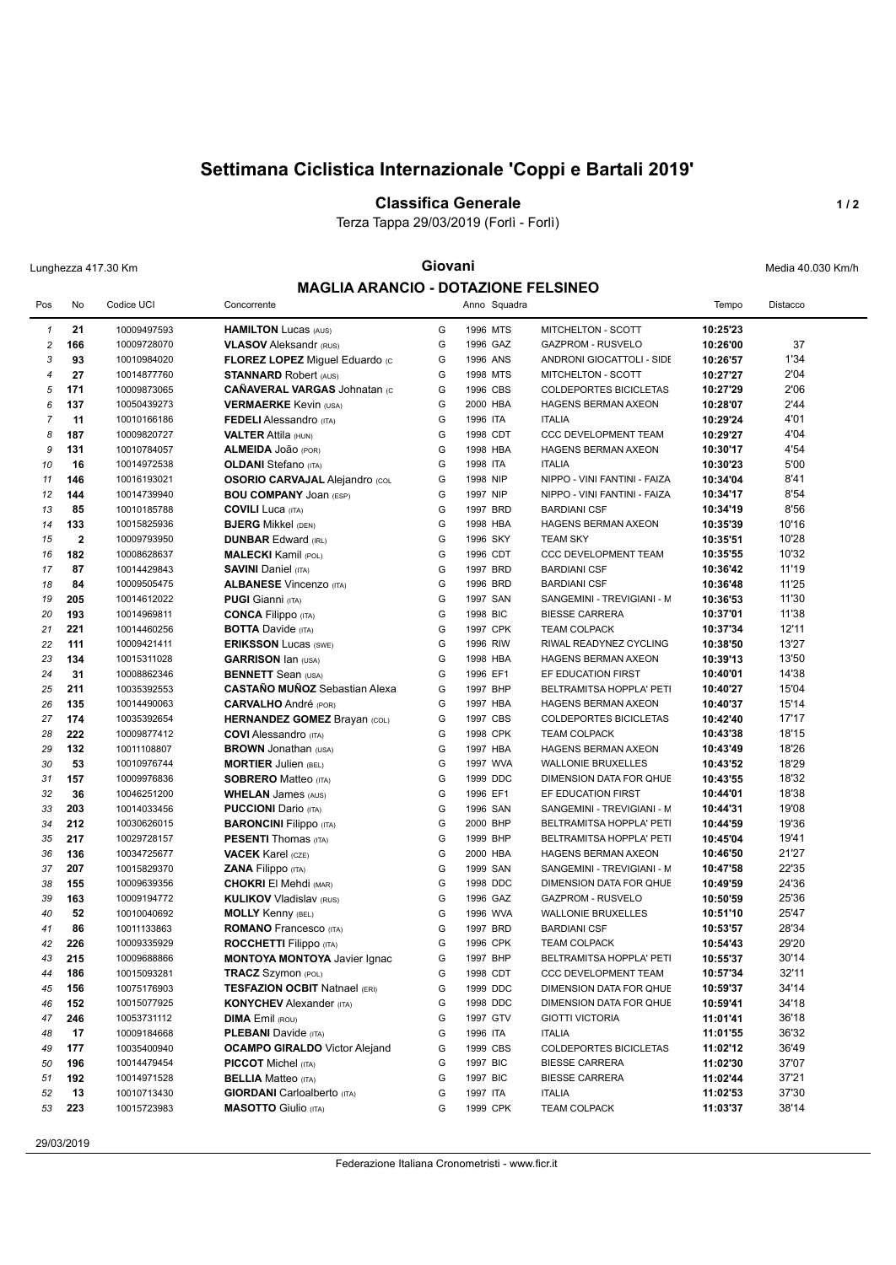# **Settimana Ciclistica Internazionale 'Coppi e Bartali 2019'**

### **Classifica Generale 1/2**

Terza Tappa 29/03/2019 (Forlì - Forlì)

## Lunghezza 417.30 Km **Giovani Giovani Giovani Media 40.030 Km/h MAGLIA ARANCIO - DOTAZIONE FELSINEO**

|                |              |                            | <u>GLIA ANANGIO - DO IAZIONE I LEGINEO</u>                 |        |                      |                                                     |                      |                |
|----------------|--------------|----------------------------|------------------------------------------------------------|--------|----------------------|-----------------------------------------------------|----------------------|----------------|
| Pos            | No           | Codice UCI                 | Concorrente                                                |        | Anno Squadra         |                                                     | Tempo                | Distacco       |
| $\mathbf{1}$   | 21           | 10009497593                | <b>HAMILTON Lucas (AUS)</b>                                | G      | 1996 MTS             | MITCHELTON - SCOTT                                  | 10:25'23             |                |
| $\overline{c}$ | 166          | 10009728070                | <b>VLASOV</b> Aleksandr (RUS)                              | G      | 1996 GAZ             | <b>GAZPROM - RUSVELO</b>                            | 10:26'00             | 37             |
| 3              | 93           | 10010984020                | FLOREZ LOPEZ Miguel Eduardo (c                             | G      | 1996 ANS             | ANDRONI GIOCATTOLI - SIDE                           | 10:26'57             | 1'34           |
| $\overline{4}$ | 27           | 10014877760                | <b>STANNARD Robert (AUS)</b>                               | G      | 1998 MTS             | MITCHELTON - SCOTT                                  | 10:27'27             | 2'04           |
| 5              | 171          | 10009873065                | <b>CAÑAVERAL VARGAS Johnatan (C</b>                        | G      | 1996 CBS             | COLDEPORTES BICICLETAS                              | 10:27'29             | 2'06           |
| 6              | 137          |                            |                                                            | G      | 2000 HBA             |                                                     |                      | 2'44           |
|                |              | 10050439273                | <b>VERMAERKE Kevin (USA)</b>                               | G      |                      | <b>HAGENS BERMAN AXEON</b>                          | 10:28'07             |                |
| $\overline{7}$ | 11           | 10010166186                | <b>FEDELI</b> Alessandro (ITA)                             |        | 1996 ITA             | <b>ITALIA</b>                                       | 10:29'24             | 4'01           |
| 8              | 187          | 10009820727                | <b>VALTER Attila (HUN)</b>                                 | G      | 1998 CDT<br>1998 HBA | <b>CCC DEVELOPMENT TEAM</b>                         | 10:29'27             | 4'04           |
| 9              | 131          | 10010784057                | ALMEIDA JOão (POR)                                         | G      |                      | HAGENS BERMAN AXEON                                 | 10:30'17             | 4'54           |
| 10             | 16           | 10014972538                | <b>OLDANI</b> Stefano (ITA)                                | G      | 1998 ITA             | <b>ITALIA</b><br>NIPPO - VINI FANTINI - FAIZA       | 10:30'23             | 5'00           |
| 11             | 146          | 10016193021                | <b>OSORIO CARVAJAL Alejandro (COL</b>                      | G      | 1998 NIP             |                                                     | 10:34'04             | 8'41           |
| 12             | 144          | 10014739940                | <b>BOU COMPANY JOAN (ESP)</b>                              | G      | 1997 NIP             | NIPPO - VINI FANTINI - FAIZA                        | 10:34'17             | 8'54           |
| 13             | 85           | 10010185788                | <b>COVILI Luca</b> (ITA)                                   | G      | 1997 BRD             | <b>BARDIANI CSF</b>                                 | 10:34'19             | 8'56           |
| 14             | 133          | 10015825936                | <b>BJERG</b> Mikkel (DEN)                                  | G      | 1998 HBA             | HAGENS BERMAN AXEON                                 | 10:35'39             | 10'16          |
| 15             | $\mathbf{2}$ | 10009793950                | <b>DUNBAR Edward (IRL)</b>                                 | G      | 1996 SKY             | <b>TEAM SKY</b>                                     | 10:35'51             | 10'28          |
| 16             | 182          | 10008628637                | <b>MALECKI Kamil (POL)</b>                                 | G      | 1996 CDT             | <b>CCC DEVELOPMENT TEAM</b>                         | 10:35'55             | 10'32          |
| 17             | 87           | 10014429843                | <b>SAVINI Daniel (ITA)</b>                                 | G      | 1997 BRD             | <b>BARDIANI CSF</b>                                 | 10:36'42             | 11'19          |
| 18             | 84           | 10009505475                | <b>ALBANESE Vincenzo (ITA)</b>                             | G      | 1996 BRD             | <b>BARDIANI CSF</b>                                 | 10:36'48             | 11'25          |
| 19             | 205          | 10014612022                | <b>PUGI Gianni</b> (ITA)                                   | G      | 1997 SAN             | SANGEMINI - TREVIGIANI - M                          | 10:36'53             | 11'30          |
| 20             | 193          | 10014969811                | <b>CONCA Filippo</b> (ITA)                                 | G      | 1998 BIC             | <b>BIESSE CARRERA</b>                               | 10:37'01             | 11'38          |
| 21             | 221          | 10014460256                | <b>BOTTA Davide (ITA)</b>                                  | G      | 1997 CPK             | <b>TEAM COLPACK</b>                                 | 10:37'34             | 12'11          |
| 22             | 111          | 10009421411                | <b>ERIKSSON Lucas (SWE)</b>                                | G      | 1996 RIW             | RIWAL READYNEZ CYCLING                              | 10:38'50             | 13'27          |
| 23             | 134          | 10015311028                | <b>GARRISON Ian (USA)</b>                                  | G      | 1998 HBA             | HAGENS BERMAN AXEON                                 | 10:39'13             | 13'50          |
| 24             | 31           | 10008862346                | <b>BENNETT</b> Sean (USA)                                  | G      | 1996 EF1             | EF EDUCATION FIRST                                  | 10:40'01             | 14'38          |
| 25             | 211          | 10035392553                | <b>CASTAÑO MUÑOZ</b> Sebastian Alexa                       | G      | 1997 BHP             | BELTRAMITSA HOPPLA' PETI                            | 10:40'27             | 15'04          |
| 26             | 135          | 10014490063                | <b>CARVALHO</b> André (POR)                                | G      | 1997 HBA             | HAGENS BERMAN AXEON                                 | 10:40'37             | 15'14          |
| 27             | 174          | 10035392654                | <b>HERNANDEZ GOMEZ Brayan (COL)</b>                        | G      | 1997 CBS             | <b>COLDEPORTES BICICLETAS</b>                       | 10:42'40             | 17'17          |
| 28             | 222          | 10009877412                | <b>COVI</b> Alessandro (ITA)                               | G      | 1998 CPK             | <b>TEAM COLPACK</b>                                 | 10:43'38             | 18'15          |
| 29             | 132          | 10011108807                | <b>BROWN</b> Jonathan (USA)                                | G      | 1997 HBA             | HAGENS BERMAN AXEON                                 | 10:43'49             | 18'26          |
| 30             | 53           | 10010976744                | <b>MORTIER Julien (BEL)</b>                                | G      | 1997 WVA             | <b>WALLONIE BRUXELLES</b>                           | 10:43'52             | 18'29          |
| 31             | 157          | 10009976836                | <b>SOBRERO Matteo (ITA)</b>                                | G      | 1999 DDC             | DIMENSION DATA FOR QHUE                             | 10:43'55             | 18'32          |
| 32             | 36           | 10046251200                | <b>WHELAN</b> James (AUS)                                  | G      | 1996 EF1             | EF EDUCATION FIRST                                  | 10:44'01             | 18'38          |
| 33             | 203          | 10014033456                | <b>PUCCIONI</b> Dario (ITA)                                | G      | 1996 SAN             | SANGEMINI - TREVIGIANI - M                          | 10:44'31             | 19'08          |
| 34             | 212          | 10030626015                | <b>BARONCINI Filippo</b> (ITA)                             | G<br>G | 2000 BHP             | BELTRAMITSA HOPPLA' PETI                            | 10:44'59             | 19'36          |
| 35             | 217          | 10029728157                | <b>PESENTI Thomas (ITA)</b>                                |        | 1999 BHP             | BELTRAMITSA HOPPLA' PETI                            | 10:45'04             | 19'41          |
| 36             | 136          | 10034725677                | <b>VACEK Karel (CZE)</b>                                   | G<br>G | 2000 HBA             | <b>HAGENS BERMAN AXEON</b>                          | 10:46'50             | 21'27          |
| 37             | 207          | 10015829370                | ZANA Filippo (ITA)                                         | G      | 1999 SAN             | SANGEMINI - TREVIGIANI - M                          | 10:47'58             | 22'35<br>24'36 |
| 38             | 155          | 10009639356                | <b>CHOKRI El Mehdi (MAR)</b>                               | G      | 1998 DDC<br>1996 GAZ | DIMENSION DATA FOR QHUE<br><b>GAZPROM - RUSVELO</b> | 10:49'59             |                |
| 39             | 163          | 10009194772                | <b>KULIKOV Vladislav (RUS)</b>                             |        |                      |                                                     | 10:50'59             | 25'36          |
| 40             | 52<br>86     | 10010040692<br>10011133863 | <b>MOLLY Kenny (BEL)</b>                                   | G<br>G | 1996 WVA<br>1997 BRD | <b>WALLONIE BRUXELLES</b>                           | 10:51'10             | 25'47<br>28'34 |
| 41<br>42       |              |                            | <b>ROMANO</b> Francesco (ITA)                              | G      | 1996 CPK             | <b>BARDIANI CSF</b>                                 | 10:53'57             | 29'20          |
| 43             | 226<br>215   | 10009335929                | <b>ROCCHETTI Filippo</b> (ITA)                             | G      | 1997 BHP             | <b>TEAM COLPACK</b>                                 | 10:54'43             | 30'14          |
|                |              | 10009688866                | <b>MONTOYA MONTOYA Javier Ignac</b>                        | G      | 1998 CDT             | BELTRAMITSA HOPPLA' PETI                            | 10:55'37             | 32'11          |
| 44             | 186          | 10015093281                | TRACZ Szymon (POL)<br><b>TESFAZION OCBIT Natnael (ERI)</b> |        |                      | CCC DEVELOPMENT TEAM                                | 10:57'34             | 34'14          |
| 45<br>46       | 156<br>152   | 10075176903<br>10015077925 | <b>KONYCHEV</b> Alexander (ITA)                            | G<br>G | 1999 DDC<br>1998 DDC | DIMENSION DATA FOR QHUE<br>DIMENSION DATA FOR QHUE  | 10:59'37<br>10:59'41 | 34'18          |
| 47             | 246          | 10053731112                | <b>DIMA</b> Emil (ROU)                                     | G      | 1997 GTV             | <b>GIOTTI VICTORIA</b>                              | 11:01'41             | 36'18          |
| 48             | 17           | 10009184668                | <b>PLEBANI</b> Davide (ITA)                                | G      | 1996 ITA             | <b>ITALIA</b>                                       | 11:01'55             | 36'32          |
| 49             | 177          | 10035400940                | <b>OCAMPO GIRALDO</b> Victor Alejand                       | G      | 1999 CBS             | COLDEPORTES BICICLETAS                              | 11:02'12             | 36'49          |
| 50             | 196          | 10014479454                | <b>PICCOT</b> Michel (ITA)                                 | G      | 1997 BIC             | <b>BIESSE CARRERA</b>                               | 11:02'30             | 37'07          |
| 51             | 192          | 10014971528                | <b>BELLIA</b> Matteo (ITA)                                 | G      | 1997 BIC             | <b>BIESSE CARRERA</b>                               | 11:02'44             | 37'21          |
| 52             | 13           | 10010713430                | <b>GIORDANI</b> Carloalberto (ITA)                         | G      | 1997 ITA             | <b>ITALIA</b>                                       | 11:02'53             | 37'30          |
| 53             | 223          | 10015723983                | <b>MASOTTO</b> Giulio (ITA)                                | G      | 1999 CPK             | <b>TEAM COLPACK</b>                                 | 11:03'37             | 38'14          |
|                |              |                            |                                                            |        |                      |                                                     |                      |                |
|                |              |                            |                                                            |        |                      |                                                     |                      |                |